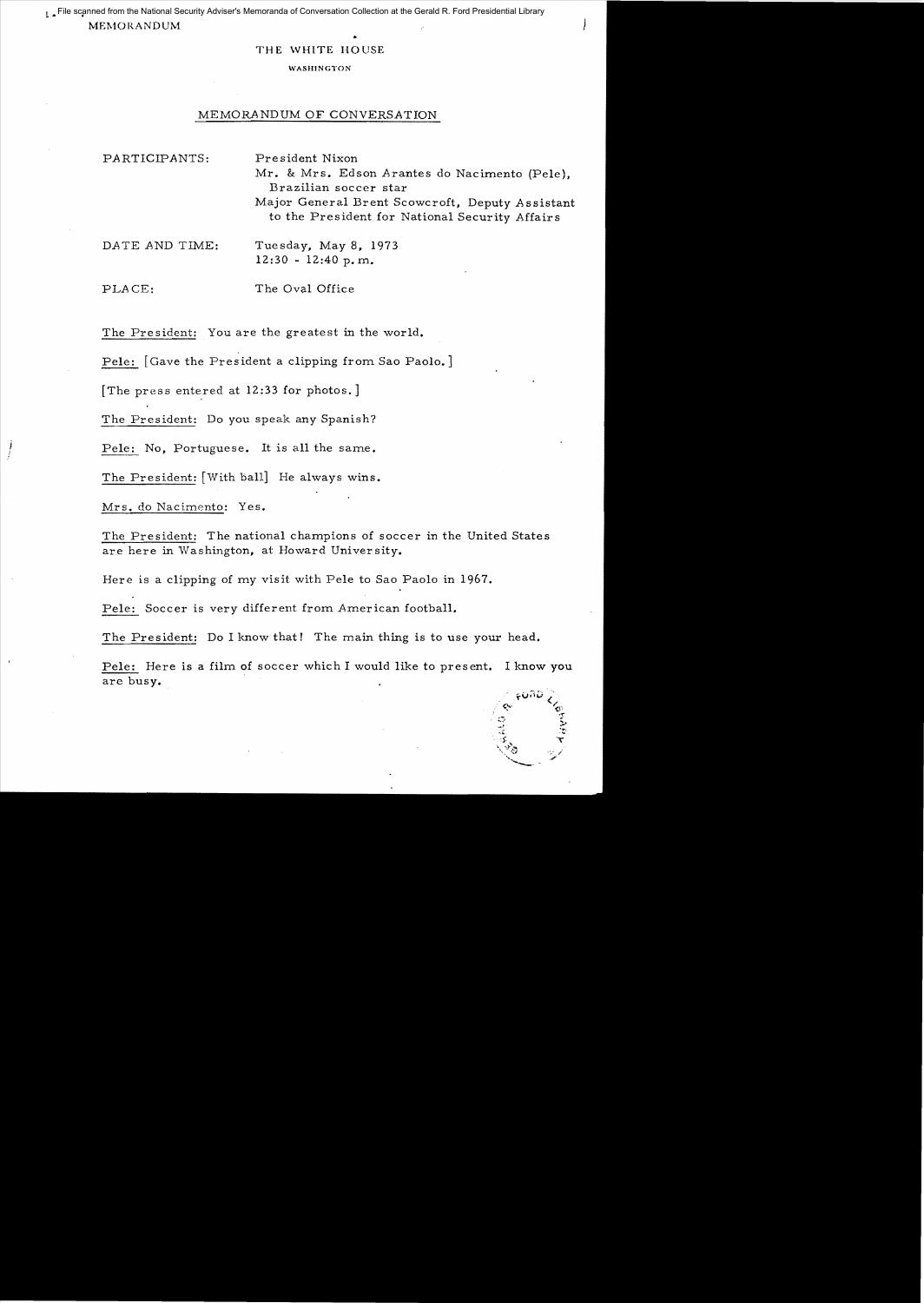L ,. File scanned from the National Security Adviser's Memoranda of Conversation Collection at the Gerald R. Ford Presidential Library**MEMORANDUM** 

## THE WHITE HOUSE

## WASHINGTON

## MEMORANDUM OF CONVERSATION

PARTICIPANTS: President Nixon Mr. & Mrs. Edson Arantes do Nacimento (Pele), Brazilian soccer star Major General Brent Scowcroft, Deputy Assistant to the President for National Security Affairs

PLACE: The Oval Office

The President: You are the greatest in the world.

Pele: [Gave the President a clipping from Sao Paolo.]

The press entered at  $12:33$  for photos.]

The President: Do you speak any Spanish?

Pele: No, Portuguese. It is all the same.

The President: [With ball] He always wins.

Mrs. do Nacimento: Yes.

The President: The national champions of soccer in the United States are here in Washington, at Howard University.

Here is a clipping of my visit with Pele to Sao Paolo in 1967.

Pele: Soccer is very different from American football.

The President: Do I know that! The main thing is to use your head.

Pe1e: Here is a film of soccer which I would like to present. I know you are busy.

DATE AND TIME: Tuesday, May 8, 1973  $12:30 - 12:40 p.m.$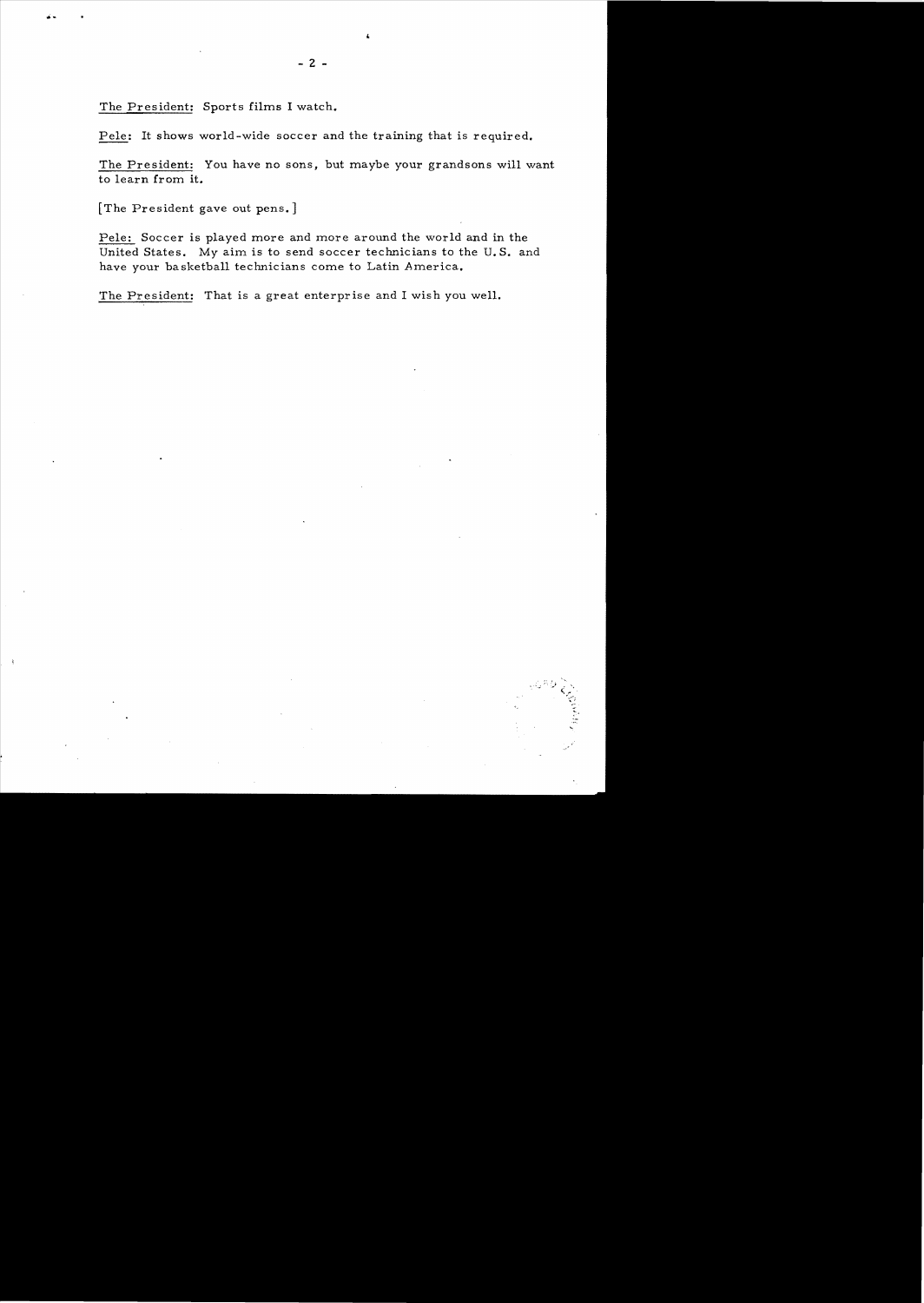The President: Sports films I watch.

Pele: It shows world-wide soccer and the training that is required.

The President: You have no sons, but maybe your grandsons will want to learn from it.

[The President gave out pens. ]

Pele: Soccer is played more and more around the world and in the United States. My aim is to send soccer technicians to the U. S. and have your basketball technicians come to Latin America.

> $\cdots$  $\hat{\zeta}_\epsilon$ *r* ~.~; ,

The President: That is a great enterprise and I wish you well.